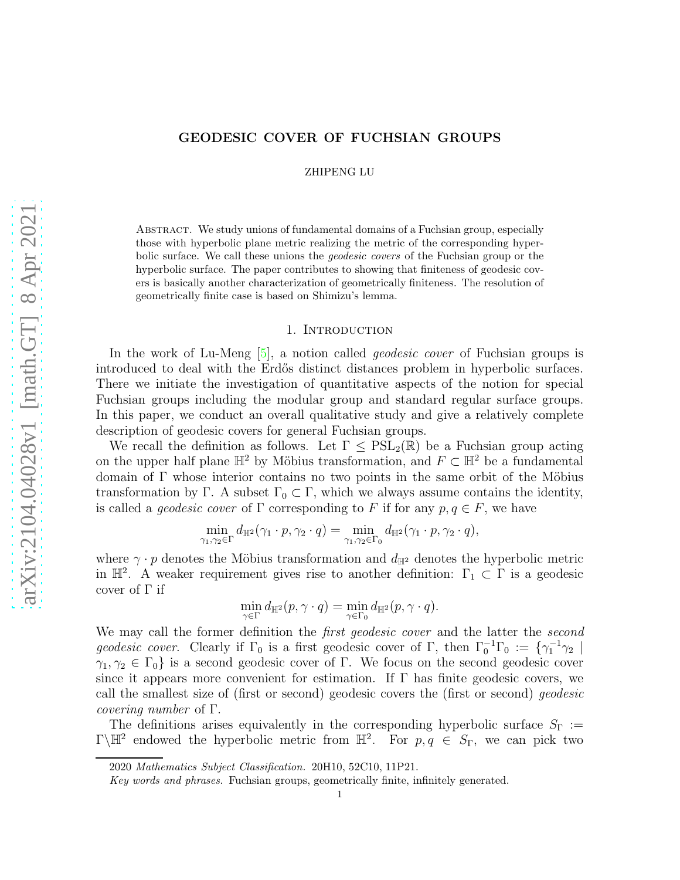## GEODESIC COVER OF FUCHSIAN GROUPS

ZHIPENG LU

Abstract. We study unions of fundamental domains of a Fuchsian group, especially those with hyperbolic plane metric realizing the metric of the corresponding hyperbolic surface. We call these unions the geodesic covers of the Fuchsian group or the hyperbolic surface. The paper contributes to showing that finiteness of geodesic covers is basically another characterization of geometrically finiteness. The resolution of geometrically finite case is based on Shimizu's lemma.

## 1. INTRODUCTION

In the work of Lu-Meng [\[5\]](#page-8-0), a notion called *geodesic cover* of Fuchsian groups is introduced to deal with the Erdős distinct distances problem in hyperbolic surfaces. There we initiate the investigation of quantitative aspects of the notion for special Fuchsian groups including the modular group and standard regular surface groups. In this paper, we conduct an overall qualitative study and give a relatively complete description of geodesic covers for general Fuchsian groups.

We recall the definition as follows. Let  $\Gamma \leq \mathrm{PSL}_2(\mathbb{R})$  be a Fuchsian group acting on the upper half plane  $\mathbb{H}^2$  by Möbius transformation, and  $F \subset \mathbb{H}^2$  be a fundamental domain of  $\Gamma$  whose interior contains no two points in the same orbit of the Möbius transformation by Γ. A subset  $\Gamma_0 \subset \Gamma$ , which we always assume contains the identity, is called a *geodesic cover* of  $\Gamma$  corresponding to F if for any  $p, q \in F$ , we have

$$
\min_{\gamma_1,\gamma_2\in\Gamma}d_{\mathbb{H}^2}(\gamma_1\cdot p,\gamma_2\cdot q)=\min_{\gamma_1,\gamma_2\in\Gamma_0}d_{\mathbb{H}^2}(\gamma_1\cdot p,\gamma_2\cdot q),
$$

where  $\gamma \cdot p$  denotes the Möbius transformation and  $d_{\mathbb{H}^2}$  denotes the hyperbolic metric in  $\mathbb{H}^2$ . A weaker requirement gives rise to another definition:  $\Gamma_1 \subset \Gamma$  is a geodesic cover of Γ if

$$
\min_{\gamma \in \Gamma} d_{\mathbb{H}^2}(p, \gamma \cdot q) = \min_{\gamma \in \Gamma_0} d_{\mathbb{H}^2}(p, \gamma \cdot q).
$$

We may call the former definition the *first geodesic cover* and the latter the *second* geodesic cover. Clearly if  $\Gamma_0$  is a first geodesic cover of  $\Gamma$ , then  $\Gamma_0^{-1}\Gamma_0 := \{\gamma_1^{-1}\gamma_2 \mid$  $\gamma_1, \gamma_2 \in \Gamma_0$  is a second geodesic cover of Γ. We focus on the second geodesic cover since it appears more convenient for estimation. If  $\Gamma$  has finite geodesic covers, we call the smallest size of (first or second) geodesic covers the (first or second) geodesic covering number of Γ.

The definitions arises equivalently in the corresponding hyperbolic surface  $S_{\Gamma}$  :=  $\Gamma\backslash\mathbb{H}^2$  endowed the hyperbolic metric from  $\mathbb{H}^2$ . For  $p, q \in S_{\Gamma}$ , we can pick two

<sup>2020</sup> Mathematics Subject Classification. 20H10, 52C10, 11P21.

Key words and phrases. Fuchsian groups, geometrically finite, infinitely generated.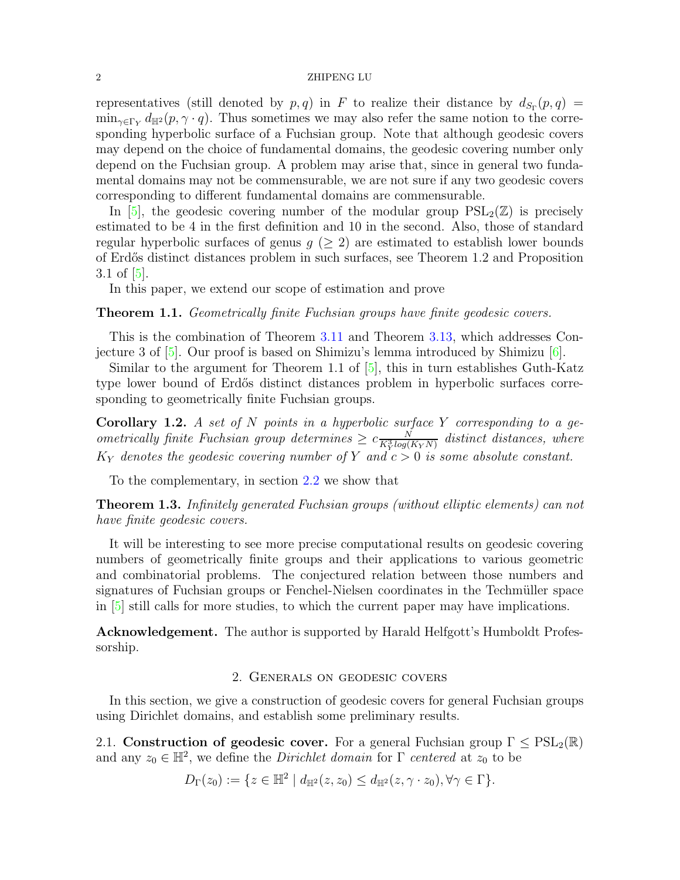representatives (still denoted by  $p, q$ ) in F to realize their distance by  $d_{S_{\Gamma}}(p,q) =$  $\min_{\gamma \in \Gamma_Y} d_{\mathbb{H}^2}(p, \gamma \cdot q)$ . Thus sometimes we may also refer the same notion to the corresponding hyperbolic surface of a Fuchsian group. Note that although geodesic covers may depend on the choice of fundamental domains, the geodesic covering number only depend on the Fuchsian group. A problem may arise that, since in general two fundamental domains may not be commensurable, we are not sure if any two geodesic covers corresponding to different fundamental domains are commensurable.

In [\[5\]](#page-8-0), the geodesic covering number of the modular group  $PSL_2(\mathbb{Z})$  is precisely estimated to be 4 in the first definition and 10 in the second. Also, those of standard regular hyperbolic surfaces of genus  $q$  ( $\geq$  2) are estimated to establish lower bounds of Erd˝os distinct distances problem in such surfaces, see Theorem 1.2 and Proposition 3.1 of [\[5\]](#page-8-0).

In this paper, we extend our scope of estimation and prove

<span id="page-1-0"></span>Theorem 1.1. Geometrically finite Fuchsian groups have finite geodesic covers.

This is the combination of Theorem [3.11](#page-7-0) and Theorem [3.13,](#page-8-1) which addresses Conjecture 3 of  $[5]$ . Our proof is based on Shimizu's lemma introduced by Shimizu  $[6]$ .

Similar to the argument for Theorem 1.1 of [\[5\]](#page-8-0), this in turn establishes Guth-Katz type lower bound of Erdős distinct distances problem in hyperbolic surfaces corresponding to geometrically finite Fuchsian groups.

**Corollary 1.2.** A set of  $N$  points in a hyperbolic surface  $Y$  corresponding to a geometrically finite Fuchsian group determines  $\geq c \frac{N}{K_Y^3 log(K_Y N)}$  distinct distances, where  $K_Y$  denotes the geodesic covering number of Y and  $c > 0$  is some absolute constant.

To the complementary, in section [2.2](#page-2-0) we show that

Theorem 1.3. Infinitely generated Fuchsian groups (without elliptic elements) can not have finite geodesic covers.

It will be interesting to see more precise computational results on geodesic covering numbers of geometrically finite groups and their applications to various geometric and combinatorial problems. The conjectured relation between those numbers and signatures of Fuchsian groups or Fenchel-Nielsen coordinates in the Techmüller space in [\[5\]](#page-8-0) still calls for more studies, to which the current paper may have implications.

Acknowledgement. The author is supported by Harald Helfgott's Humboldt Professorship.

# 2. Generals on geodesic covers

In this section, we give a construction of geodesic covers for general Fuchsian groups using Dirichlet domains, and establish some preliminary results.

2.1. Construction of geodesic cover. For a general Fuchsian group  $\Gamma \leq \text{PSL}_2(\mathbb{R})$ and any  $z_0 \in \mathbb{H}^2$ , we define the *Dirichlet domain* for  $\Gamma$  centered at  $z_0$  to be

$$
D_{\Gamma}(z_0) := \{ z \in \mathbb{H}^2 \mid d_{\mathbb{H}^2}(z, z_0) \leq d_{\mathbb{H}^2}(z, \gamma \cdot z_0), \forall \gamma \in \Gamma \}.
$$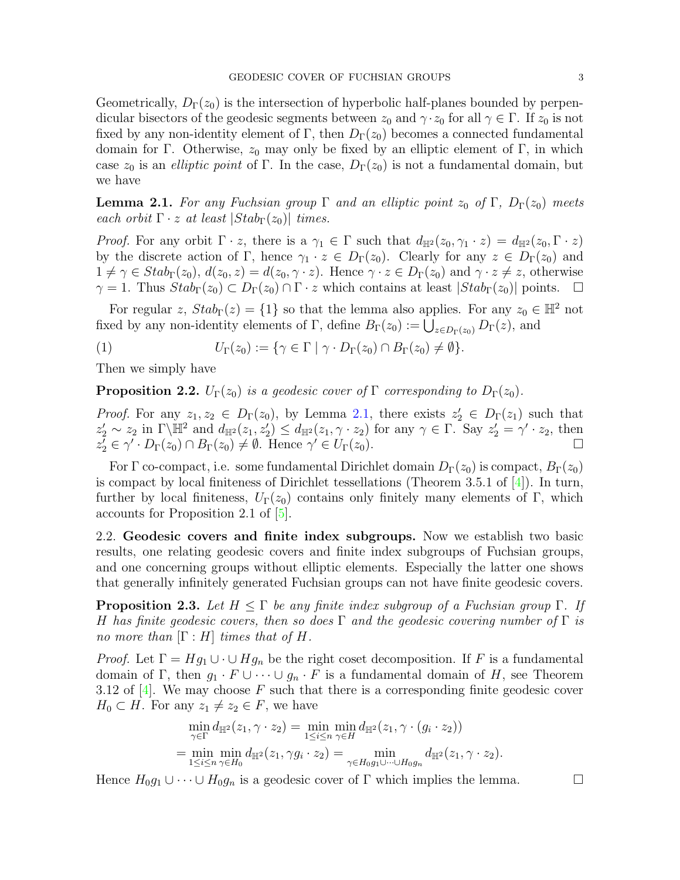Geometrically,  $D_{\Gamma}(z_0)$  is the intersection of hyperbolic half-planes bounded by perpendicular bisectors of the geodesic segments between  $z_0$  and  $\gamma \cdot z_0$  for all  $\gamma \in \Gamma$ . If  $z_0$  is not fixed by any non-identity element of Γ, then  $D_{\Gamma}(z_0)$  becomes a connected fundamental domain for Γ. Otherwise,  $z_0$  may only be fixed by an elliptic element of Γ, in which case  $z_0$  is an *elliptic point* of Γ. In the case,  $D_{\Gamma}(z_0)$  is not a fundamental domain, but we have

<span id="page-2-1"></span>**Lemma 2.1.** For any Fuchsian group  $\Gamma$  and an elliptic point  $z_0$  of  $\Gamma$ ,  $D_{\Gamma}(z_0)$  meets each orbit  $\Gamma \cdot z$  at least  $|Stab_{\Gamma}(z_0)|$  times.

*Proof.* For any orbit  $\Gamma \cdot z$ , there is a  $\gamma_1 \in \Gamma$  such that  $d_{\mathbb{H}^2}(z_0, \gamma_1 \cdot z) = d_{\mathbb{H}^2}(z_0, \Gamma \cdot z)$ by the discrete action of Γ, hence  $\gamma_1 \cdot z \in D_{\Gamma}(z_0)$ . Clearly for any  $z \in D_{\Gamma}(z_0)$  and  $1 \neq \gamma \in Stab_{\Gamma}(z_0), d(z_0, z) = d(z_0, \gamma \cdot z)$ . Hence  $\gamma \cdot z \in D_{\Gamma}(z_0)$  and  $\gamma \cdot z \neq z$ , otherwise  $\gamma = 1$ . Thus  $Stab_{\Gamma}(z_0) \subset D_{\Gamma}(z_0) \cap \Gamma \cdot z$  which contains at least  $|Stab_{\Gamma}(z_0)|$  points.  $\Box$ 

For regular z,  $Stab_{\Gamma}(z) = \{1\}$  so that the lemma also applies. For any  $z_0 \in \mathbb{H}^2$  not fixed by any non-identity elements of  $\Gamma$ , define  $B_{\Gamma}(z_0) := \bigcup_{z \in D_{\Gamma}(z_0)} D_{\Gamma}(z)$ , and

<span id="page-2-2"></span>(1) 
$$
U_{\Gamma}(z_0) := \{ \gamma \in \Gamma \mid \gamma \cdot D_{\Gamma}(z_0) \cap B_{\Gamma}(z_0) \neq \emptyset \}.
$$

Then we simply have

<span id="page-2-4"></span>**Proposition 2.2.**  $U_{\Gamma}(z_0)$  is a geodesic cover of  $\Gamma$  corresponding to  $D_{\Gamma}(z_0)$ .

*Proof.* For any  $z_1, z_2 \in D_{\Gamma}(z_0)$ , by Lemma [2.1,](#page-2-1) there exists  $z'_2 \in D_{\Gamma}(z_1)$  such that  $z_2' \sim z_2$  in  $\Gamma \backslash \mathbb{H}^2$  and  $d_{\mathbb{H}^2}(z_1, z_2') \leq d_{\mathbb{H}^2}(z_1, \gamma \cdot z_2)$  for any  $\gamma \in \Gamma$ . Say  $z_2' = \gamma' \cdot z_2$ , then  $z_2^7 \in \gamma' \cdot D_{\Gamma}(z_0) \cap B_{\Gamma}(z_0) \neq \emptyset$ . Hence  $\gamma' \in U_{\Gamma}(z_0)$ .

For  $\Gamma$  co-compact, i.e. some fundamental Dirichlet domain  $D_{\Gamma}(z_0)$  is compact,  $B_{\Gamma}(z_0)$ is compact by local finiteness of Dirichlet tessellations (Theorem 3.5.1 of  $[4]$ ). In turn, further by local finiteness,  $U_{\Gamma}(z_0)$  contains only finitely many elements of Γ, which accounts for Proposition 2.1 of [\[5\]](#page-8-0).

<span id="page-2-0"></span>2.2. Geodesic covers and finite index subgroups. Now we establish two basic results, one relating geodesic covers and finite index subgroups of Fuchsian groups, and one concerning groups without elliptic elements. Especially the latter one shows that generally infinitely generated Fuchsian groups can not have finite geodesic covers.

<span id="page-2-3"></span>**Proposition 2.3.** Let  $H \leq \Gamma$  be any finite index subgroup of a Fuchsian group  $\Gamma$ . If H has finite geodesic covers, then so does  $\Gamma$  and the geodesic covering number of  $\Gamma$  is no more than  $[\Gamma : H]$  times that of H.

*Proof.* Let  $\Gamma = Hg_1 \cup \cdots \cup Hg_n$  be the right coset decomposition. If F is a fundamental domain of Γ, then  $g_1 \cdot F \cup \cdots \cup g_n \cdot F$  is a fundamental domain of H, see Theorem 3.12 of  $[4]$ . We may choose F such that there is a corresponding finite geodesic cover  $H_0 \subset H$ . For any  $z_1 \neq z_2 \in F$ , we have

$$
\min_{\gamma \in \Gamma} d_{\mathbb{H}^2}(z_1, \gamma \cdot z_2) = \min_{1 \le i \le n} \min_{\gamma \in H} d_{\mathbb{H}^2}(z_1, \gamma \cdot (g_i \cdot z_2))
$$
  
= 
$$
\min_{1 \le i \le n} \min_{\gamma \in H_0} d_{\mathbb{H}^2}(z_1, \gamma g_i \cdot z_2) = \min_{\gamma \in H_0 g_1 \cup \dots \cup H_0 g_n} d_{\mathbb{H}^2}(z_1, \gamma \cdot z_2).
$$

Hence  $H_0 g_1 \cup \cdots \cup H_0 g_n$  is a geodesic cover of  $\Gamma$  which implies the lemma.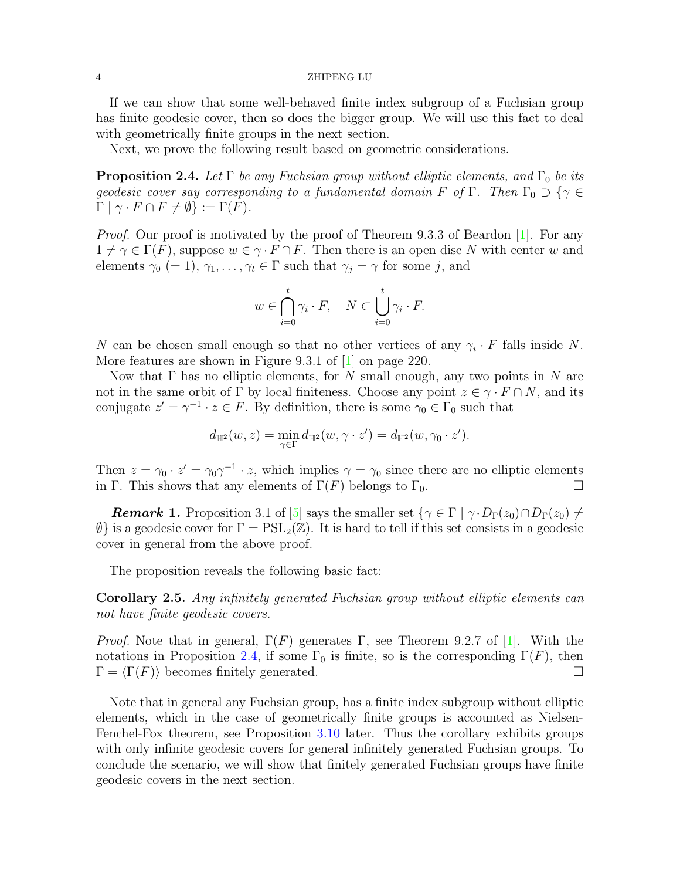If we can show that some well-behaved finite index subgroup of a Fuchsian group has finite geodesic cover, then so does the bigger group. We will use this fact to deal with geometrically finite groups in the next section.

Next, we prove the following result based on geometric considerations.

<span id="page-3-0"></span>**Proposition 2.4.** Let  $\Gamma$  be any Fuchsian group without elliptic elements, and  $\Gamma_0$  be its geodesic cover say corresponding to a fundamental domain F of  $\Gamma$ . Then  $\Gamma_0 \supset \{ \gamma \in$  $\Gamma | \gamma \cdot F \cap F \neq \emptyset$  :=  $\Gamma(F)$ .

Proof. Our proof is motivated by the proof of Theorem 9.3.3 of Beardon [\[1\]](#page-8-4). For any  $1 \neq \gamma \in \Gamma(F)$ , suppose  $w \in \gamma \cdot F \cap F$ . Then there is an open disc N with center w and elements  $\gamma_0 (= 1), \gamma_1, \ldots, \gamma_t \in \Gamma$  such that  $\gamma_j = \gamma$  for some j, and

$$
w \in \bigcap_{i=0}^{t} \gamma_i \cdot F, \quad N \subset \bigcup_{i=0}^{t} \gamma_i \cdot F.
$$

N can be chosen small enough so that no other vertices of any  $\gamma_i \cdot F$  falls inside N. More features are shown in Figure 9.3.1 of [\[1\]](#page-8-4) on page 220.

Now that  $\Gamma$  has no elliptic elements, for N small enough, any two points in N are not in the same orbit of  $\Gamma$  by local finiteness. Choose any point  $z \in \gamma \cdot F \cap N$ , and its conjugate  $z' = \gamma^{-1} \cdot z \in F$ . By definition, there is some  $\gamma_0 \in \Gamma_0$  such that

$$
d_{\mathbb{H}^2}(w,z)=\min_{\gamma\in\Gamma}d_{\mathbb{H}^2}(w,\gamma\cdot z')=d_{\mathbb{H}^2}(w,\gamma_0\cdot z').
$$

Then  $z = \gamma_0 \cdot z' = \gamma_0 \gamma^{-1} \cdot z$ , which implies  $\gamma = \gamma_0$  since there are no elliptic elements in Γ. This shows that any elements of  $\Gamma(F)$  belongs to  $\Gamma_0$ .

**Remark 1.** Proposition 3.1 of [\[5\]](#page-8-0) says the smaller set  $\{\gamma \in \Gamma \mid \gamma \cdot D_{\Gamma}(z_0) \cap D_{\Gamma}(z_0) \neq 0\}$  $\emptyset$  is a geodesic cover for  $\Gamma = \text{PSL}_2(\mathbb{Z})$ . It is hard to tell if this set consists in a geodesic cover in general from the above proof.

The proposition reveals the following basic fact:

Corollary 2.5. Any infinitely generated Fuchsian group without elliptic elements can not have finite geodesic covers.

*Proof.* Note that in general,  $\Gamma(F)$  generates  $\Gamma$ , see Theorem 9.2.7 of [\[1\]](#page-8-4). With the notations in Proposition [2.4,](#page-3-0) if some  $\Gamma_0$  is finite, so is the corresponding  $\Gamma(F)$ , then  $\Gamma = \langle \Gamma(F) \rangle$  becomes finitely generated.

Note that in general any Fuchsian group, has a finite index subgroup without elliptic elements, which in the case of geometrically finite groups is accounted as Nielsen-Fenchel-Fox theorem, see Proposition [3.10](#page-7-1) later. Thus the corollary exhibits groups with only infinite geodesic covers for general infinitely generated Fuchsian groups. To conclude the scenario, we will show that finitely generated Fuchsian groups have finite geodesic covers in the next section.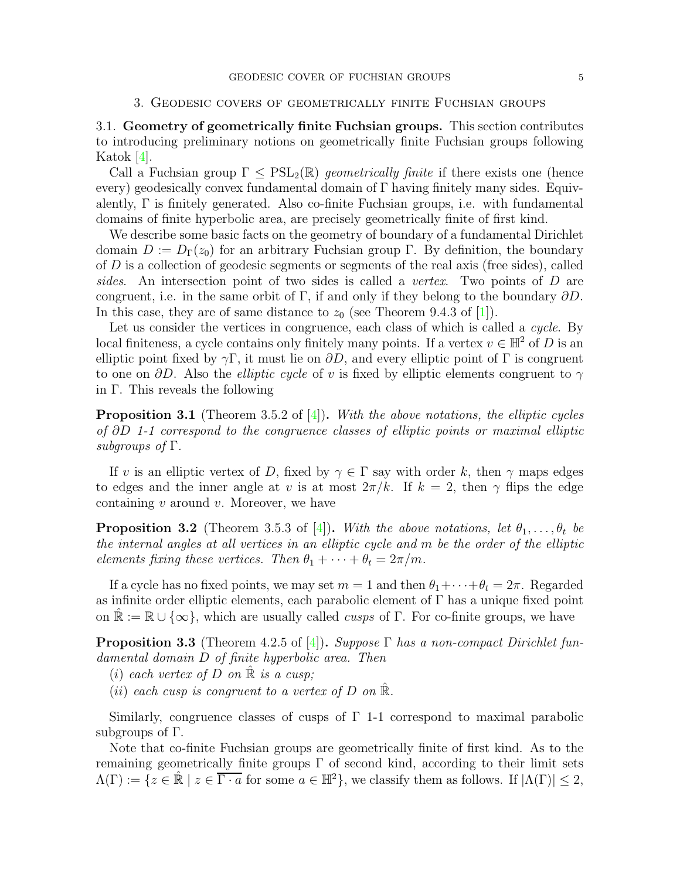## 3. Geodesic covers of geometrically finite Fuchsian groups

3.1. Geometry of geometrically finite Fuchsian groups. This section contributes to introducing preliminary notions on geometrically finite Fuchsian groups following Katok [\[4\]](#page-8-3).

Call a Fuchsian group  $\Gamma \leq \text{PSL}_2(\mathbb{R})$  geometrically finite if there exists one (hence every) geodesically convex fundamental domain of Γ having finitely many sides. Equivalently,  $\Gamma$  is finitely generated. Also co-finite Fuchsian groups, i.e. with fundamental domains of finite hyperbolic area, are precisely geometrically finite of first kind.

We describe some basic facts on the geometry of boundary of a fundamental Dirichlet domain  $D := D_{\Gamma}(z_0)$  for an arbitrary Fuchsian group Γ. By definition, the boundary of  $D$  is a collection of geodesic segments or segments of the real axis (free sides), called sides. An intersection point of two sides is called a *vertex*. Two points of D are congruent, i.e. in the same orbit of Γ, if and only if they belong to the boundary  $\partial D$ . In this case, they are of same distance to  $z_0$  (see Theorem 9.4.3 of [\[1\]](#page-8-4)).

Let us consider the vertices in congruence, each class of which is called a *cycle*. By local finiteness, a cycle contains only finitely many points. If a vertex  $v \in \mathbb{H}^2$  of D is an elliptic point fixed by  $\gamma \Gamma$ , it must lie on  $\partial D$ , and every elliptic point of  $\Gamma$  is congruent to one on  $\partial D$ . Also the *elliptic cycle* of v is fixed by elliptic elements congruent to  $\gamma$ in Γ. This reveals the following

**Proposition 3.1** (Theorem 3.5.2 of  $[4]$ ). With the above notations, the elliptic cycles of ∂D 1-1 correspond to the congruence classes of elliptic points or maximal elliptic subgroups of  $\Gamma$ .

If v is an elliptic vertex of D, fixed by  $\gamma \in \Gamma$  say with order k, then  $\gamma$  maps edges to edges and the inner angle at v is at most  $2\pi/k$ . If  $k = 2$ , then  $\gamma$  flips the edge containing  $v$  around  $v$ . Moreover, we have

**Proposition 3.2** (Theorem 3.5.3 of [\[4\]](#page-8-3)). With the above notations, let  $\theta_1, \ldots, \theta_t$  be the internal angles at all vertices in an elliptic cycle and m be the order of the elliptic elements fixing these vertices. Then  $\theta_1 + \cdots + \theta_t = 2\pi/m$ .

If a cycle has no fixed points, we may set  $m = 1$  and then  $\theta_1 + \cdots + \theta_t = 2\pi$ . Regarded as infinite order elliptic elements, each parabolic element of  $\Gamma$  has a unique fixed point on  $\mathbb{R} := \mathbb{R} \cup \{\infty\}$ , which are usually called *cusps* of Γ. For co-finite groups, we have

<span id="page-4-0"></span>**Proposition 3.3** (Theorem 4.2.5 of [\[4\]](#page-8-3)). Suppose  $\Gamma$  has a non-compact Dirichlet fundamental domain D of finite hyperbolic area. Then

- (i) each vertex of D on  $\mathbb R$  is a cusp;
- (ii) each cusp is congruent to a vertex of D on  $\mathbb{R}$ .

Similarly, congruence classes of cusps of Γ 1-1 correspond to maximal parabolic subgroups of Γ.

Note that co-finite Fuchsian groups are geometrically finite of first kind. As to the remaining geometrically finite groups  $\Gamma$  of second kind, according to their limit sets  $\Lambda(\Gamma) := \{z \in \mathbb{R} \mid z \in \overline{\Gamma \cdot a} \text{ for some } a \in \mathbb{H}^2\},\$ we classify them as follows. If  $|\Lambda(\Gamma)| \leq 2$ ,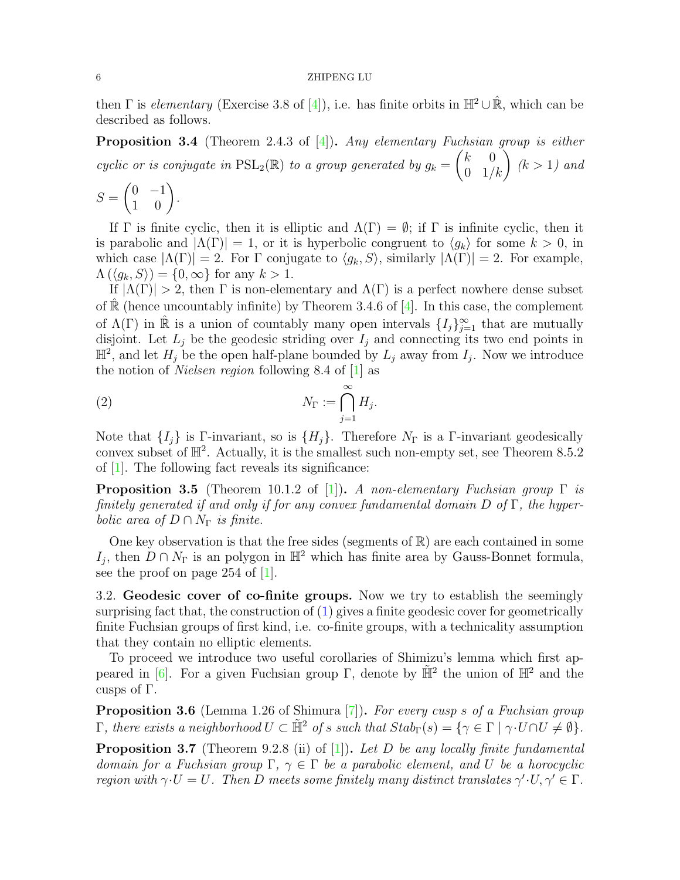then Γ is elementary (Exercise 3.8 of [\[4\]](#page-8-3)), i.e. has finite orbits in  $\mathbb{H}^2 \cup \mathbb{R}$ , which can be described as follows.

<span id="page-5-3"></span>**Proposition 3.4** (Theorem 2.4.3 of  $[4]$ ). Any elementary Fuchsian group is either cyclic or is conjugate in  $\text{PSL}_2(\mathbb{R})$  to a group generated by  $g_k = \begin{pmatrix} k & 0 \\ 0 & 1/k \end{pmatrix}$   $(k > 1)$  and

$$
S = \begin{pmatrix} 0 & -1 \\ 1 & 0 \end{pmatrix}.
$$

If  $\Gamma$  is finite cyclic, then it is elliptic and  $\Lambda(\Gamma) = \emptyset$ ; if  $\Gamma$  is infinite cyclic, then it is parabolic and  $|\Lambda(\Gamma)| = 1$ , or it is hyperbolic congruent to  $\langle g_k \rangle$  for some  $k > 0$ , in which case  $|\Lambda(\Gamma)| = 2$ . For  $\Gamma$  conjugate to  $\langle g_k, S \rangle$ , similarly  $|\Lambda(\Gamma)| = 2$ . For example,  $\Lambda(\langle g_k, S \rangle) = \{0, \infty\}$  for any  $k > 1$ .

If  $|\Lambda(\Gamma)| > 2$ , then  $\Gamma$  is non-elementary and  $\Lambda(\Gamma)$  is a perfect nowhere dense subset of  $\mathbb R$  (hence uncountably infinite) by Theorem 3.4.6 of [\[4\]](#page-8-3). In this case, the complement of  $\Lambda(\Gamma)$  in  $\hat{\mathbb{R}}$  is a union of countably many open intervals  $\{I_j\}_{j=1}^{\infty}$  that are mutually disjoint. Let  $L_j$  be the geodesic striding over  $I_j$  and connecting its two end points in  $\mathbb{H}^2$ , and let  $H_j$  be the open half-plane bounded by  $L_j$  away from  $I_j$ . Now we introduce the notion of Nielsen region following 8.4 of [\[1\]](#page-8-4) as

<span id="page-5-2"></span>(2) 
$$
N_{\Gamma} := \bigcap_{j=1}^{\infty} H_j.
$$

Note that  $\{I_i\}$  is Γ-invariant, so is  $\{H_i\}$ . Therefore  $N_{\Gamma}$  is a Γ-invariant geodesically convex subset of  $\mathbb{H}^2$ . Actually, it is the smallest such non-empty set, see Theorem 8.5.2 of [\[1\]](#page-8-4). The following fact reveals its significance:

**Proposition 3.5** (Theorem 10.1.2 of [\[1\]](#page-8-4)). A non-elementary Fuchsian group  $\Gamma$  is finitely generated if and only if for any convex fundamental domain  $D$  of  $\Gamma$ , the hyperbolic area of  $D \cap N_{\Gamma}$  is finite.

One key observation is that the free sides (segments of  $\mathbb{R}$ ) are each contained in some I<sub>j</sub>, then  $D \cap N_{\Gamma}$  is an polygon in  $\mathbb{H}^2$  which has finite area by Gauss-Bonnet formula, see the proof on page 254 of [\[1\]](#page-8-4).

3.2. Geodesic cover of co-finite groups. Now we try to establish the seemingly surprising fact that, the construction of  $(1)$  gives a finite geodesic cover for geometrically finite Fuchsian groups of first kind, i.e. co-finite groups, with a technicality assumption that they contain no elliptic elements.

To proceed we introduce two useful corollaries of Shimizu's lemma which first ap-peared in [\[6\]](#page-8-2). For a given Fuchsian group  $\Gamma$ , denote by  $\tilde{\mathbb{H}}^2$  the union of  $\mathbb{H}^2$  and the cusps of Γ.

<span id="page-5-0"></span>Proposition 3.6 (Lemma 1.26 of Shimura [\[7\]](#page-8-5)). For every cusp s of a Fuchsian group Γ, there exists a neighborhood  $U \subset \tilde{H}^2$  of s such that  $Stab_{Γ}(s) = \{γ \in Γ \mid γ \cdot U ∩ U \neq ∅$ .

<span id="page-5-1"></span>**Proposition 3.7** (Theorem 9.2.8 (ii) of  $[1]$ ). Let D be any locally finite fundamental domain for a Fuchsian group  $\Gamma$ ,  $\gamma \in \Gamma$  be a parabolic element, and U be a horocyclic region with  $\gamma \cdot U = U$ . Then D meets some finitely many distinct translates  $\gamma' \cdot U, \gamma' \in \Gamma$ .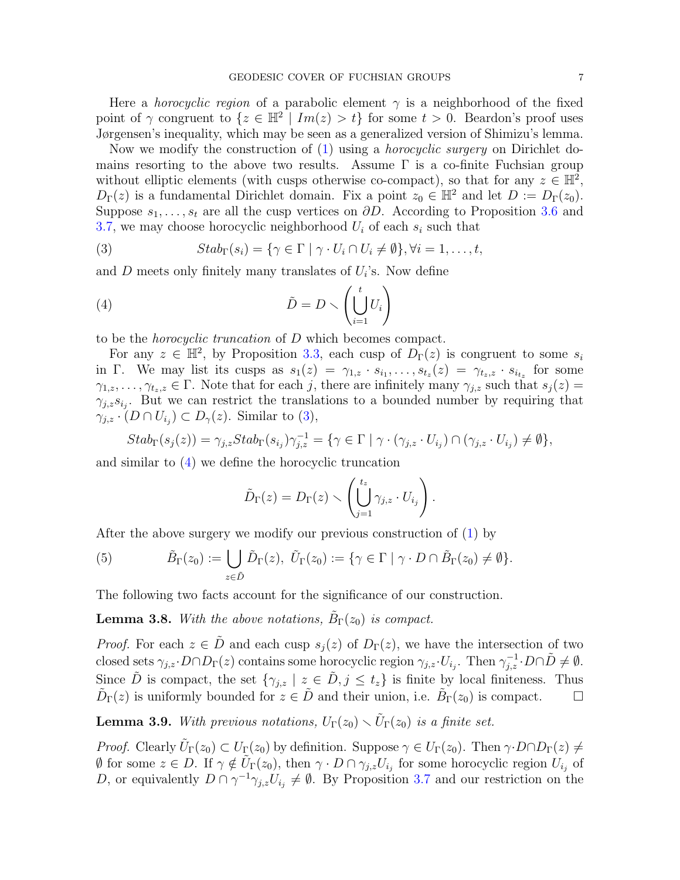Here a *horocyclic region* of a parabolic element  $\gamma$  is a neighborhood of the fixed point of  $\gamma$  congruent to  $\{z \in \mathbb{H}^2 \mid Im(z) > t\}$  for some  $t > 0$ . Beardon's proof uses Jørgensen's inequality, which may be seen as a generalized version of Shimizu's lemma.

Now we modify the construction of [\(1\)](#page-2-2) using a horocyclic surgery on Dirichlet domains resorting to the above two results. Assume  $\Gamma$  is a co-finite Fuchsian group without elliptic elements (with cusps otherwise co-compact), so that for any  $z \in \mathbb{H}^2$ ,  $D_{\Gamma}(z)$  is a fundamental Dirichlet domain. Fix a point  $z_0 \in \mathbb{H}^2$  and let  $D := D_{\Gamma}(z_0)$ . Suppose  $s_1, \ldots, s_t$  are all the cusp vertices on  $\partial D$ . According to Proposition [3.6](#page-5-0) and [3.7,](#page-5-1) we may choose horocyclic neighborhood  $U_i$  of each  $s_i$  such that

<span id="page-6-0"></span>(3) 
$$
Stab_{\Gamma}(s_i) = \{ \gamma \in \Gamma \mid \gamma \cdot U_i \cap U_i \neq \emptyset \}, \forall i = 1, ..., t,
$$

and  $D$  meets only finitely many translates of  $U_i$ 's. Now define

(4) 
$$
\tilde{D} = D \smallsetminus \left( \bigcup_{i=1}^{t} U_i \right)
$$

to be the horocyclic truncation of D which becomes compact.

For any  $z \in \mathbb{H}^2$ , by Proposition [3.3,](#page-4-0) each cusp of  $D_{\Gamma}(z)$  is congruent to some  $s_i$ in Γ. We may list its cusps as  $s_1(z) = \gamma_{1,z} \cdot s_{i_1}, \ldots, s_{t_z}(z) = \gamma_{t_z,z} \cdot s_{i_{t_z}}$  for some  $\gamma_{1,z}, \ldots, \gamma_{t_z,z} \in \Gamma$ . Note that for each j, there are infinitely many  $\gamma_{i,z}$  such that  $s_i(z)$  $\gamma_{j,z} s_{i_j}$ . But we can restrict the translations to a bounded number by requiring that  $\gamma_{j,z} \cdot (D \cap U_{i_j}) \subset D_{\gamma}(z)$ . Similar to [\(3\)](#page-6-0),

$$
Stab_{\Gamma}(s_j(z)) = \gamma_{j,z} Stab_{\Gamma}(s_{i_j}) \gamma_{j,z}^{-1} = \{ \gamma \in \Gamma \mid \gamma \cdot (\gamma_{j,z} \cdot U_{i_j}) \cap (\gamma_{j,z} \cdot U_{i_j}) \neq \emptyset \},\
$$

and similar to [\(4\)](#page-6-1) we define the horocyclic truncation

<span id="page-6-1"></span>
$$
\tilde{D}_{\Gamma}(z) = D_{\Gamma}(z) \setminus \left( \bigcup_{j=1}^{t_z} \gamma_{j,z} \cdot U_{i_j} \right).
$$

After the above surgery we modify our previous construction of [\(1\)](#page-2-2) by

(5) 
$$
\tilde{B}_{\Gamma}(z_0) := \bigcup_{z \in \tilde{D}} \tilde{D}_{\Gamma}(z), \ \tilde{U}_{\Gamma}(z_0) := \{ \gamma \in \Gamma \mid \gamma \cdot D \cap \tilde{B}_{\Gamma}(z_0) \neq \emptyset \}.
$$

The following two facts account for the significance of our construction.

<span id="page-6-2"></span>**Lemma 3.8.** With the above notations,  $\tilde{B}_{\Gamma}(z_0)$  is compact.

*Proof.* For each  $z \in \tilde{D}$  and each cusp  $s_i(z)$  of  $D_{\Gamma}(z)$ , we have the intersection of two closed sets  $\gamma_{j,z} \cdot D \cap D_{\Gamma}(z)$  contains some horocyclic region  $\gamma_{j,z} \cdot U_{i_j}$ . Then  $\gamma_{j,z}^{-1} \cdot D \cap \tilde{D} \neq \emptyset$ . Since  $\tilde{D}$  is compact, the set  $\{\gamma_{j,z} \mid z \in \tilde{D}, j \leq t_z\}$  is finite by local finiteness. Thus  $\tilde{D}_{\Gamma}(z)$  is uniformly bounded for  $z \in \tilde{D}$  and their union, i.e.  $\tilde{B}_{\Gamma}(z_0)$  is compact.  $\square$ 

<span id="page-6-3"></span>**Lemma 3.9.** With previous notations,  $U_{\Gamma}(z_0) \setminus \tilde{U}_{\Gamma}(z_0)$  is a finite set.

*Proof.* Clearly  $\tilde{U}_{\Gamma}(z_0) \subset U_{\Gamma}(z_0)$  by definition. Suppose  $\gamma \in U_{\Gamma}(z_0)$ . Then  $\gamma \cdot D \cap D_{\Gamma}(z) \neq 0$  $\emptyset$  for some  $z \in D$ . If  $\gamma \notin \tilde{U}_{\Gamma}(z_0)$ , then  $\gamma \cdot D \cap \gamma_{j,z} U_{i_j}$  for some horocyclic region  $U_{i_j}$  of D, or equivalently  $D \cap \gamma^{-1} \gamma_{j,z} U_{i_j} \neq \emptyset$ . By Proposition [3.7](#page-5-1) and our restriction on the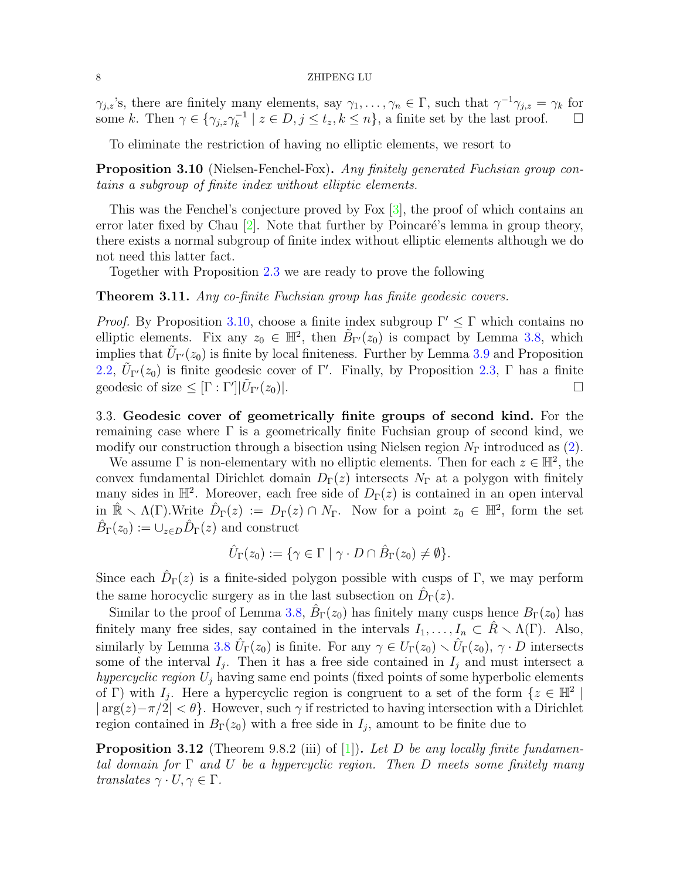$\gamma_{j,z}$ 's, there are finitely many elements, say  $\gamma_1, \ldots, \gamma_n \in \Gamma$ , such that  $\gamma^{-1}\gamma_{j,z} = \gamma_k$  for some k. Then  $\gamma \in \{\gamma_{j,z}\gamma_k^{-1}\}$  $\left[ \begin{array}{c} -1 \\ k \end{array} \right]$   $z \in D, j \leq t_z, k \leq n$ , a finite set by the last proof.  $\square$ 

To eliminate the restriction of having no elliptic elements, we resort to

<span id="page-7-1"></span>Proposition 3.10 (Nielsen-Fenchel-Fox). Any finitely generated Fuchsian group contains a subgroup of finite index without elliptic elements.

This was the Fenchel's conjecture proved by Fox [\[3\]](#page-8-6), the proof of which contains an error later fixed by Chau  $[2]$ . Note that further by Poincaré's lemma in group theory, there exists a normal subgroup of finite index without elliptic elements although we do not need this latter fact.

Together with Proposition [2.3](#page-2-3) we are ready to prove the following

<span id="page-7-0"></span>**Theorem 3.11.** Any co-finite Fuchsian group has finite geodesic covers.

*Proof.* By Proposition [3.10,](#page-7-1) choose a finite index subgroup  $\Gamma' \leq \Gamma$  which contains no elliptic elements. Fix any  $z_0 \in \mathbb{H}^2$ , then  $\tilde{B}_{\Gamma'}(z_0)$  is compact by Lemma [3.8,](#page-6-2) which implies that  $\tilde{U}_{\Gamma'}(z_0)$  is finite by local finiteness. Further by Lemma [3.9](#page-6-3) and Proposition [2.2,](#page-2-4)  $\tilde{U}_{\Gamma'}(z_0)$  is finite geodesic cover of  $\Gamma'$ . Finally, by Proposition [2.3,](#page-2-3)  $\Gamma$  has a finite geodesic of size  $\leq [\Gamma : \Gamma']|\tilde{U}$  $\Gamma'(z_0)|.$ 

3.3. Geodesic cover of geometrically finite groups of second kind. For the remaining case where  $\Gamma$  is a geometrically finite Fuchsian group of second kind, we modify our construction through a bisection using Nielsen region  $N_{\Gamma}$  introduced as [\(2\)](#page-5-2).

We assume  $\Gamma$  is non-elementary with no elliptic elements. Then for each  $z \in \mathbb{H}^2$ , the convex fundamental Dirichlet domain  $D_{\Gamma}(z)$  intersects  $N_{\Gamma}$  at a polygon with finitely many sides in  $\mathbb{H}^2$ . Moreover, each free side of  $D_{\Gamma}(z)$  is contained in an open interval in  $\mathbb{R} \setminus \Lambda(\Gamma)$ . Write  $\hat{D}_{\Gamma}(z) := D_{\Gamma}(z) \cap N_{\Gamma}$ . Now for a point  $z_0 \in \mathbb{H}^2$ , form the set  $\hat{B}_{\Gamma}(z_0) := \cup_{z \in D} \hat{D}_{\Gamma}(z)$  and construct

$$
\hat{U}_{\Gamma}(z_0) := \{ \gamma \in \Gamma \mid \gamma \cdot D \cap \hat{B}_{\Gamma}(z_0) \neq \emptyset \}.
$$

Since each  $\hat{D}_{\Gamma}(z)$  is a finite-sided polygon possible with cusps of  $\Gamma$ , we may perform the same horocyclic surgery as in the last subsection on  $\hat{D}_{\Gamma}(z)$ .

Similar to the proof of Lemma [3.8,](#page-6-2)  $\hat{B}_{\Gamma}(z_0)$  has finitely many cusps hence  $B_{\Gamma}(z_0)$  has finitely many free sides, say contained in the intervals  $I_1, \ldots, I_n \subset \hat{R} \setminus \Lambda(\Gamma)$ . Also, similarly by Lemma [3.8](#page-6-2)  $\hat{U}_{\Gamma}(z_0)$  is finite. For any  $\gamma \in U_{\Gamma}(z_0) \setminus \hat{U}_{\Gamma}(z_0)$ ,  $\gamma \cdot D$  intersects some of the interval  $I_j$ . Then it has a free side contained in  $I_j$  and must intersect a hypercyclic region  $U_i$  having same end points (fixed points of some hyperbolic elements of Γ) with  $I_j$ . Here a hypercyclic region is congruent to a set of the form  $\{z \in \mathbb{H}^2 \mid \mathbb{R}^2 \leq z \leq \mathbb{H}^2 \}$  $|\arg(z)-\pi/2| < \theta$ . However, such  $\gamma$  if restricted to having intersection with a Dirichlet region contained in  $B_{\Gamma}(z_0)$  with a free side in  $I_j$ , amount to be finite due to

**Proposition 3.12** (Theorem 9.8.2 (iii) of [\[1\]](#page-8-4)). Let D be any locally finite fundamental domain for  $\Gamma$  and U be a hypercyclic region. Then D meets some finitely many translates  $\gamma \cdot U, \gamma \in \Gamma$ .